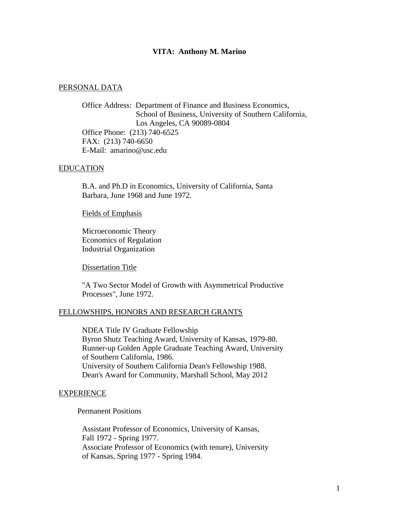## **VITA: Anthony M. Marino**

## PERSONAL DATA

Office Address: Department of Finance and Business Economics, School of Business, University of Southern California, Los Angeles, CA 90089-0804 Office Phone: (213) 740-6525 FAX: (213) 740-6650 E-Mail: amarino@usc.edu

### EDUCATION

B.A. and Ph.D in Economics, University of California, Santa Barbara, June 1968 and June 1972.

### Fields of Emphasis

Microeconomic Theory Economics of Regulation Industrial Organization

Dissertation Title

"A Two Sector Model of Growth with Asymmetrical Productive Processes", June 1972.

## FELLOWSHIPS, HONORS AND RESEARCH GRANTS

NDEA Title IV Graduate Fellowship Byron Shutz Teaching Award, University of Kansas, 1979-80. Runner-up Golden Apple Graduate Teaching Award, University of Southern California, 1986. University of Southern California Dean's Fellowship 1988. Dean's Award for Community, Marshall School, May 2012

### EXPERIENCE

Permanent Positions

Assistant Professor of Economics, University of Kansas, Fall 1972 - Spring 1977. Associate Professor of Economics (with tenure), University of Kansas, Spring 1977 - Spring 1984.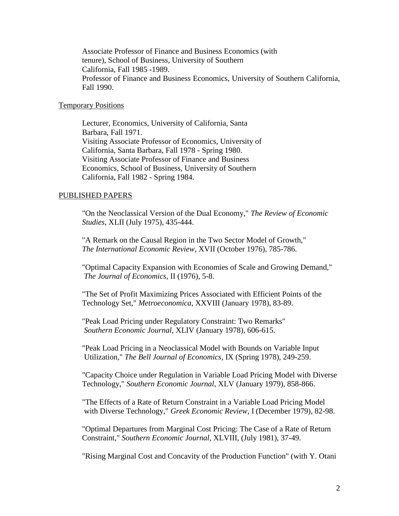Associate Professor of Finance and Business Economics (with tenure), School of Business, University of Southern California, Fall 1985 -1989. Professor of Finance and Business Economics, University of Southern California, Fall 1990.

## Temporary Positions

Lecturer, Economics, University of California, Santa Barbara, Fall 1971. Visiting Associate Professor of Economics, University of California, Santa Barbara, Fall 1978 - Spring 1980. Visiting Associate Professor of Finance and Business Economics, School of Business, University of Southern California, Fall 1982 - Spring 1984.

#### PUBLISHED PAPERS

"On the Neoclassical Version of the Dual Economy," *The Review of Economic Studies*, XLII (July 1975), 435-444.

"A Remark on the Causal Region in the Two Sector Model of Growth," *The International Economic Review*, XVII (October 1976), 785-786.

"Optimal Capacity Expansion with Economies of Scale and Growing Demand," *The Journal of Economics*, II (1976), 5-8.

"The Set of Profit Maximizing Prices Associated with Efficient Points of the Technology Set," *Metroeconomica*, XXVIII (January 1978), 83-89.

"Peak Load Pricing under Regulatory Constraint: Two Remarks" *Southern Economic Journal*, XLIV (January 1978), 606-615.

"Peak Load Pricing in a Neoclassical Model with Bounds on Variable Input Utilization," *The Bell Journal of Economics*, IX (Spring 1978), 249-259.

"Capacity Choice under Regulation in Variable Load Pricing Model with Diverse Technology," *Southern Economic Journal*, XLV (January 1979), 858-866.

"The Effects of a Rate of Return Constraint in a Variable Load Pricing Model with Diverse Technology," *Greek Economic Review*, I (December 1979), 82-98.

"Optimal Departures from Marginal Cost Pricing: The Case of a Rate of Return Constraint," *Southern Economic Journal*, XLVIII, (July 1981), 37-49.

"Rising Marginal Cost and Concavity of the Production Function" (with Y. Otani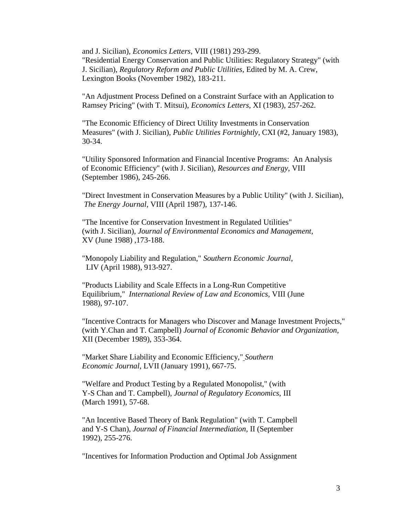and J. Sicilian), *Economics Letters*, VIII (1981) 293-299. "Residential Energy Conservation and Public Utilities: Regulatory Strategy" (with J. Sicilian), *Regulatory Reform and Public Utilities*, Edited by M. A. Crew, Lexington Books (November 1982), 183-211.

"An Adjustment Process Defined on a Constraint Surface with an Application to Ramsey Pricing" (with T. Mitsui), *Economics Letters*, XI (1983), 257-262.

"The Economic Efficiency of Direct Utility Investments in Conservation Measures" (with J. Sicilian), *Public Utilities Fortnightly*, CXI (#2, January 1983), 30-34.

"Utility Sponsored Information and Financial Incentive Programs: An Analysis of Economic Efficiency" (with J. Sicilian), *Resources and Energy*, VIII (September 1986), 245-266.

"Direct Investment in Conservation Measures by a Public Utility" (with J. Sicilian), *The Energy Journal*, VIII (April 1987), 137-146.

"The Incentive for Conservation Investment in Regulated Utilities" (with J. Sicilian), *Journal of Environmental Economics and Management*, XV (June 1988) ,173-188.

"Monopoly Liability and Regulation," *Southern Economic Journal*, LIV (April 1988), 913-927.

"Products Liability and Scale Effects in a Long-Run Competitive Equilibrium," *International Review of Law and Economics*, VIII (June 1988), 97-107.

"Incentive Contracts for Managers who Discover and Manage Investment Projects," (with Y.Chan and T. Campbell) *Journal of Economic Behavior and Organization*, XII (December 1989), 353-364.

"Market Share Liability and Economic Efficiency," *Southern Economic Journal*, LVII (January 1991), 667-75.

"Welfare and Product Testing by a Regulated Monopolist," (with Y-S Chan and T. Campbell), *Journal of Regulatory Economics*, III (March 1991), 57-68.

"An Incentive Based Theory of Bank Regulation" (with T. Campbell and Y-S Chan), *Journal of Financial Intermediation*, II (September 1992), 255-276.

"Incentives for Information Production and Optimal Job Assignment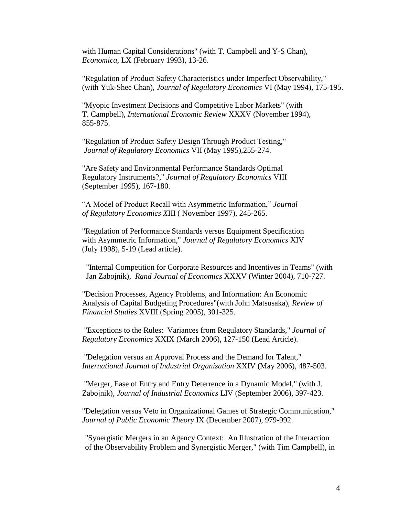with Human Capital Considerations" (with T. Campbell and Y-S Chan), *Economica*, LX (February 1993), 13-26.

"Regulation of Product Safety Characteristics under Imperfect Observability," (with Yuk-Shee Chan), *Journal of Regulatory Economics* VI (May 1994), 175-195.

"Myopic Investment Decisions and Competitive Labor Markets" (with T. Campbell), *International Economic Review* XXXV (November 1994), 855-875.

"Regulation of Product Safety Design Through Product Testing," *Journal of Regulatory Economics* VII (May 1995),255-274.

"Are Safety and Environmental Performance Standards Optimal Regulatory Instruments?," *Journal of Regulatory Economics* VIII (September 1995), 167-180.

"A Model of Product Recall with Asymmetric Information," *Journal of Regulatory Economics X*III ( November 1997), 245-265.

"Regulation of Performance Standards versus Equipment Specification with Asymmetric Information," *Journal of Regulatory Economics* XIV (July 1998), 5-19 (Lead article).

 "Internal Competition for Corporate Resources and Incentives in Teams" (with Jan Zabojnik), *Rand Journal of Economics* XXXV (Winter 2004), 710-727.

"Decision Processes, Agency Problems, and Information: An Economic Analysis of Capital Budgeting Procedures"(with John Matsusaka), *Review of Financial Studies* XVIII (Spring 2005), 301-325.

"Exceptions to the Rules: Variances from Regulatory Standards," *Journal of Regulatory Economics* XXIX (March 2006), 127-150 (Lead Article).

"Delegation versus an Approval Process and the Demand for Talent," *International Journal of Industrial Organization* XXIV (May 2006), 487-503.

"Merger, Ease of Entry and Entry Deterrence in a Dynamic Model," (with J. Zabojnik), *Journal of Industrial Economics* LIV (September 2006), 397-423*.*

"Delegation versus Veto in Organizational Games of Strategic Communication," *Journal of Public Economic Theory* IX (December 2007), 979-992.

"Synergistic Mergers in an Agency Context: An Illustration of the Interaction of the Observability Problem and Synergistic Merger," (with Tim Campbell), in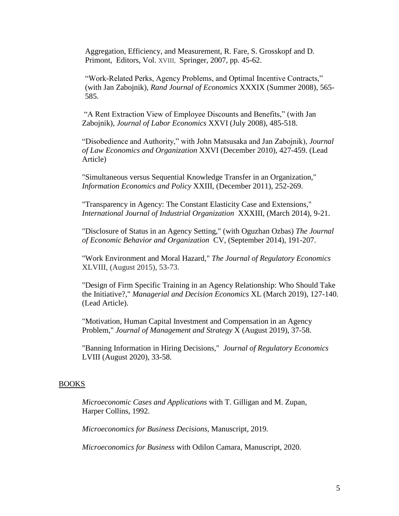Aggregation, Efficiency, and Measurement, R. Fare, S. Grosskopf and D. Primont, Editors, Vol. XVIII, Springer, 2007, pp. 45-62.

"Work-Related Perks, Agency Problems, and Optimal Incentive Contracts," (with Jan Zabojnik), *Rand Journal of Economics* XXXIX (Summer 2008), 565- 585.

"A Rent Extraction View of Employee Discounts and Benefits," (with Jan Zabojnik), *Journal of Labor Economics* XXVI (July 2008), 485-518.

"Disobedience and Authority," with John Matsusaka and Jan Zabojnik), *Journal of Law Economics and Organization* XXVI (December 2010), 427-459. (Lead Article)

"Simultaneous versus Sequential Knowledge Transfer in an Organization," *Information Economics and Policy* XXIII, (December 2011), 252-269.

"Transparency in Agency: The Constant Elasticity Case and Extensions," *International Journal of Industrial Organization* XXXIII, (March 2014), 9-21.

"Disclosure of Status in an Agency Setting," (with Oguzhan Ozbas) *The Journal of Economic Behavior and Organization* CV, (September 2014), 191-207.

"Work Environment and Moral Hazard," *The Journal of Regulatory Economics* XLVIII, (August 2015), 53-73.

"Design of Firm Specific Training in an Agency Relationship: Who Should Take the Initiative?," *Managerial and Decision Economics* XL (March 2019), 127-140. (Lead Article).

"Motivation, Human Capital Investment and Compensation in an Agency Problem," *Journal of Management and Strategy* X (August 2019), 37-58.

"Banning Information in Hiring Decisions," *Journal of Regulatory Economics* LVIII (August 2020), 33-58.

## BOOKS

*Microeconomic Cases and Applications* with T. Gilligan and M. Zupan, Harper Collins, 1992.

*Microeconomics for Business Decisions,* Manuscript, 2019*.*

*Microeconomics for Business* with Odilon Camara*,* Manuscript, 2020*.*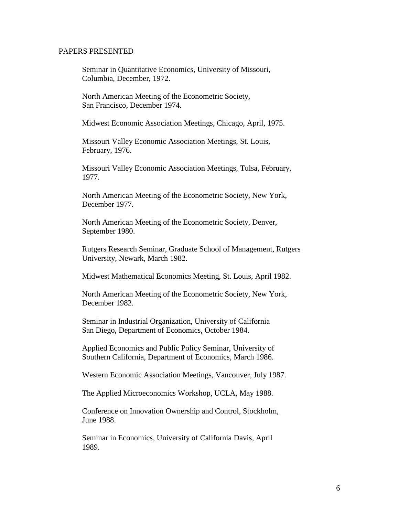### PAPERS PRESENTED

Seminar in Quantitative Economics, University of Missouri, Columbia, December, 1972.

North American Meeting of the Econometric Society, San Francisco, December 1974.

Midwest Economic Association Meetings, Chicago, April, 1975.

Missouri Valley Economic Association Meetings, St. Louis, February, 1976.

Missouri Valley Economic Association Meetings, Tulsa, February, 1977.

North American Meeting of the Econometric Society, New York, December 1977.

North American Meeting of the Econometric Society, Denver, September 1980.

Rutgers Research Seminar, Graduate School of Management, Rutgers University, Newark, March 1982.

Midwest Mathematical Economics Meeting, St. Louis, April 1982.

North American Meeting of the Econometric Society, New York, December 1982.

Seminar in Industrial Organization, University of California San Diego, Department of Economics, October 1984.

Applied Economics and Public Policy Seminar, University of Southern California, Department of Economics, March 1986.

Western Economic Association Meetings, Vancouver, July 1987.

The Applied Microeconomics Workshop, UCLA, May 1988.

Conference on Innovation Ownership and Control, Stockholm, June 1988.

Seminar in Economics, University of California Davis, April 1989.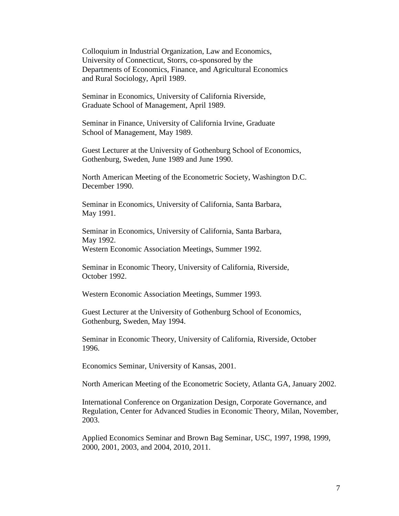Colloquium in Industrial Organization, Law and Economics, University of Connecticut, Storrs, co-sponsored by the Departments of Economics, Finance, and Agricultural Economics and Rural Sociology, April 1989.

Seminar in Economics, University of California Riverside, Graduate School of Management, April 1989.

Seminar in Finance, University of California Irvine, Graduate School of Management, May 1989.

Guest Lecturer at the University of Gothenburg School of Economics, Gothenburg, Sweden, June 1989 and June 1990.

North American Meeting of the Econometric Society, Washington D.C. December 1990.

Seminar in Economics, University of California, Santa Barbara, May 1991.

Seminar in Economics, University of California, Santa Barbara, May 1992. Western Economic Association Meetings, Summer 1992.

Seminar in Economic Theory, University of California, Riverside, October 1992.

Western Economic Association Meetings, Summer 1993.

Guest Lecturer at the University of Gothenburg School of Economics, Gothenburg, Sweden, May 1994.

Seminar in Economic Theory, University of California, Riverside, October 1996.

Economics Seminar, University of Kansas, 2001.

North American Meeting of the Econometric Society, Atlanta GA, January 2002.

International Conference on Organization Design, Corporate Governance, and Regulation, Center for Advanced Studies in Economic Theory, Milan, November, 2003.

Applied Economics Seminar and Brown Bag Seminar, USC, 1997, 1998, 1999, 2000, 2001, 2003, and 2004, 2010, 2011.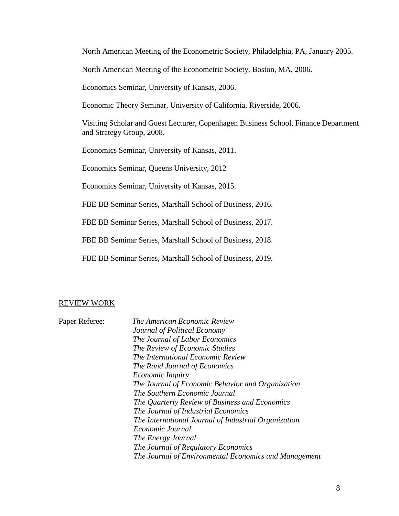North American Meeting of the Econometric Society, Philadelphia, PA, January 2005.

North American Meeting of the Econometric Society, Boston, MA, 2006.

Economics Seminar, University of Kansas, 2006.

Economic Theory Seminar, University of California, Riverside, 2006.

Visiting Scholar and Guest Lecturer, Copenhagen Business School, Finance Department and Strategy Group, 2008.

Economics Seminar, University of Kansas, 2011.

Economics Seminar, Queens University, 2012

Economics Seminar, University of Kansas, 2015.

FBE BB Seminar Series, Marshall School of Business, 2016.

FBE BB Seminar Series, Marshall School of Business, 2017.

FBE BB Seminar Series, Marshall School of Business, 2018.

FBE BB Seminar Series, Marshall School of Business, 2019.

### REVIEW WORK

| Paper Referee: | The American Economic Review                          |
|----------------|-------------------------------------------------------|
|                | Journal of Political Economy                          |
|                | The Journal of Labor Economics                        |
|                | The Review of Economic Studies                        |
|                | The International Economic Review                     |
|                | The Rand Journal of Economics                         |
|                | <i>Economic Inquiry</i>                               |
|                | The Journal of Economic Behavior and Organization     |
|                | The Southern Economic Journal                         |
|                | The Quarterly Review of Business and Economics        |
|                | The Journal of Industrial Economics                   |
|                | The International Journal of Industrial Organization  |
|                | Economic Journal                                      |
|                | The Energy Journal                                    |
|                | The Journal of Regulatory Economics                   |
|                | The Journal of Environmental Economics and Management |
|                |                                                       |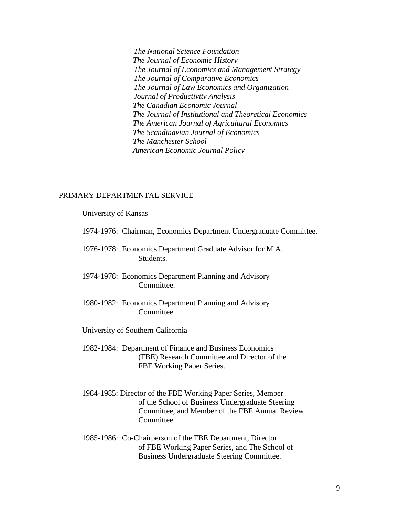*The National Science Foundation The Journal of Economic History The Journal of Economics and Management Strategy The Journal of Comparative Economics The Journal of Law Economics and Organization Journal of Productivity Analysis The Canadian Economic Journal The Journal of Institutional and Theoretical Economics The American Journal of Agricultural Economics The Scandinavian Journal of Economics The Manchester School American Economic Journal Policy*

## PRIMARY DEPARTMENTAL SERVICE

## University of Kansas

- 1974-1976: Chairman, Economics Department Undergraduate Committee.
- 1976-1978: Economics Department Graduate Advisor for M.A. Students.
- 1974-1978: Economics Department Planning and Advisory Committee.
- 1980-1982: Economics Department Planning and Advisory Committee.

## University of Southern California

- 1982-1984: Department of Finance and Business Economics (FBE) Research Committee and Director of the FBE Working Paper Series.
- 1984-1985: Director of the FBE Working Paper Series, Member of the School of Business Undergraduate Steering Committee, and Member of the FBE Annual Review Committee.
- 1985-1986: Co-Chairperson of the FBE Department, Director of FBE Working Paper Series, and The School of Business Undergraduate Steering Committee.